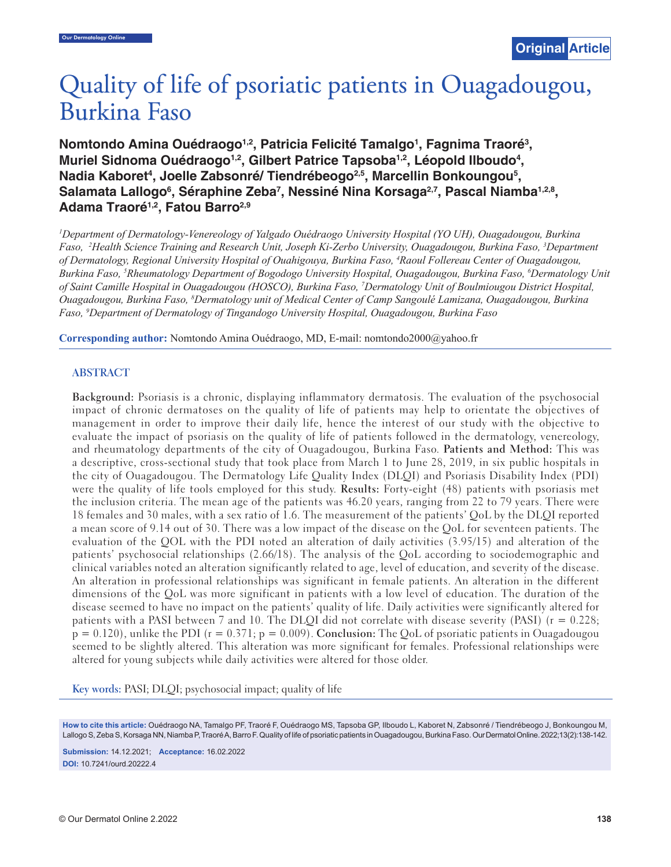# Quality of life of psoriatic patients in Ouagadougou, **Burkina Faso**

Nomtondo Amina Ouédraogo<sup>1,2</sup>, Patricia Felicité Tamalgo<sup>1</sup>, Fagnima Traoré<sup>3</sup>, Muriel Sidnoma Ouédraogo<sup>1,2</sup>, Gilbert Patrice Tapsoba<sup>1,2</sup>, Léopold Ilboudo<sup>4</sup>, Nadia Kaboret<sup>4</sup>, Joelle Zabsonré/ Tiendrébeogo<sup>2,5</sup>, Marcellin Bonkoungou<sup>5</sup>, Salamata Lallogo<sup>6</sup>, Séraphine Zeba<sup>7</sup>, Nessiné Nina Korsaga<sup>2,7</sup>, Pascal Niamba<sup>1,2,8</sup>, **Adama Traoré1,2, Fatou Barro2,9**

*1 Department of Dermatology-Venereology of Yalgado Ouédraogo University Hospital (YO UH), Ouagadougou, Burkina Faso, 2 Health Science Training and Research Unit, Joseph Ki-Zerbo University, Ouagadougou, Burkina Faso, 3 Department of Dermatology, Regional University Hospital of Ouahigouya, Burkina Faso, 4 Raoul Follereau Center of Ouagadougou, Burkina Faso, 5 Rheumatology Department of Bogodogo University Hospital, Ouagadougou, Burkina Faso, 6 Dermatology Unit of Saint Camille Hospital in Ouagadougou (HOSCO), Burkina Faso, 7 Dermatology Unit of Boulmiougou District Hospital, Ouagadougou, Burkina Faso, 8 Dermatology unit of Medical Center of Camp Sangoulé Lamizana, Ouagadougou, Burkina Faso, 9 Department of Dermatology of Tingandogo University Hospital, Ouagadougou, Burkina Faso*

**Corresponding author:** Nomtondo Amina Ouédraogo, MD, E-mail: nomtondo2000@yahoo.fr

#### **ABSTRACT**

**Background:** Psoriasis is a chronic, displaying inflammatory dermatosis. The evaluation of the psychosocial impact of chronic dermatoses on the quality of life of patients may help to orientate the objectives of management in order to improve their daily life, hence the interest of our study with the objective to evaluate the impact of psoriasis on the quality of life of patients followed in the dermatology, venereology, and rheumatology departments of the city of Ouagadougou, Burkina Faso. **Patients and Method:** This was a descriptive, cross-sectional study that took place from March 1 to June 28, 2019, in six public hospitals in the city of Ouagadougou. The Dermatology Life Quality Index (DLQI) and Psoriasis Disability Index (PDI) were the quality of life tools employed for this study. **Results:** Forty-eight (48) patients with psoriasis met the inclusion criteria. The mean age of the patients was 46.20 years, ranging from 22 to 79 years. There were 18 females and 30 males, with a sex ratio of 1.6. The measurement of the patients' QoL by the DLQI reported a mean score of 9.14 out of 30. There was a low impact of the disease on the QoL for seventeen patients. The evaluation of the QOL with the PDI noted an alteration of daily activities (3.95/15) and alteration of the patients' psychosocial relationships (2.66/18). The analysis of the QoL according to sociodemographic and clinical variables noted an alteration significantly related to age, level of education, and severity of the disease. An alteration in professional relationships was significant in female patients. An alteration in the different dimensions of the QoL was more significant in patients with a low level of education. The duration of the disease seemed to have no impact on the patients' quality of life. Daily activities were significantly altered for patients with a PASI between 7 and 10. The DLQI did not correlate with disease severity (PASI) (r = 0.228; p = 0.120), unlike the PDI (r = 0.371; p = 0.009). **Conclusion:** The QoL of psoriatic patients in Ouagadougou seemed to be slightly altered. This alteration was more significant for females. Professional relationships were altered for young subjects while daily activities were altered for those older.

**Key words:** PASI; DLQI; psychosocial impact; quality of life

**How to cite this article:** Ouédraogo NA, Tamalgo PF, Traoré F, Ouédraogo MS, Tapsoba GP, Ilboudo L, Kaboret N, Zabsonré / Tiendrébeogo J, Bonkoungou M, Lallogo S, Zeba S, Korsaga NN, Niamba P, Traoré A, Barro F. Quality of life of psoriatic patients in Ouagadougou, Burkina Faso. Our Dermatol Online. 2022;13(2):138-142.

**Submission:** 14.12.2021; **Acceptance:** 16.02.2022 **DOI:** 10.7241/ourd.20222.4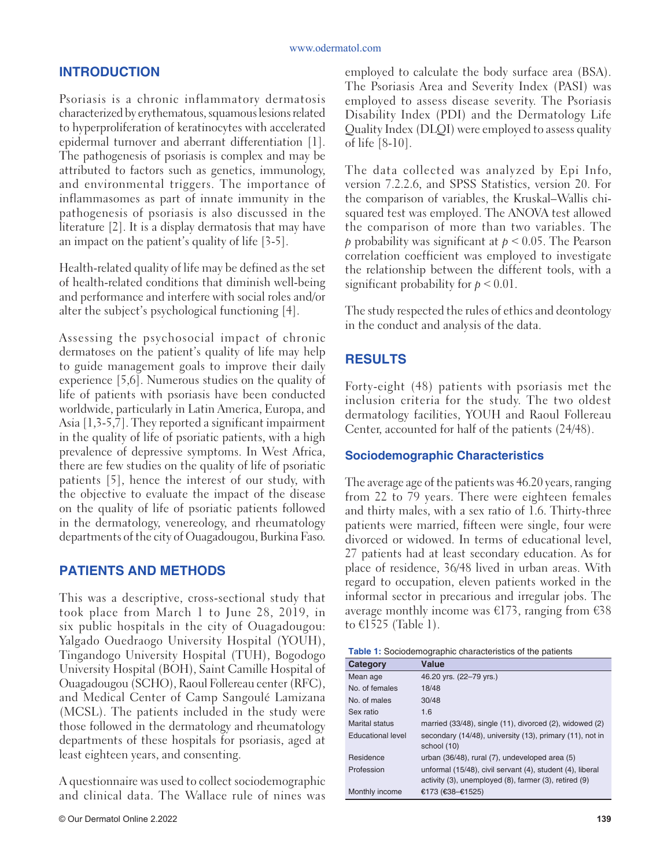# **INTRODUCTION**

Psoriasis is a chronic inflammatory dermatosis characterized by erythematous, squamous lesions related to hyperproliferation of keratinocytes with accelerated epidermal turnover and aberrant differentiation [1]. The pathogenesis of psoriasis is complex and may be attributed to factors such as genetics, immunology, and environmental triggers. The importance of inflammasomes as part of innate immunity in the pathogenesis of psoriasis is also discussed in the literature [2]. It is a display dermatosis that may have an impact on the patient's quality of life [3-5].

Health-related quality of life may be defined as the set of health-related conditions that diminish well-being and performance and interfere with social roles and/or alter the subject's psychological functioning [4].

Assessing the psychosocial impact of chronic dermatoses on the patient's quality of life may help to guide management goals to improve their daily experience [5,6]. Numerous studies on the quality of life of patients with psoriasis have been conducted worldwide, particularly in Latin America, Europa, and Asia [1,3-5,7]. They reported a significant impairment in the quality of life of psoriatic patients, with a high prevalence of depressive symptoms. In West Africa, there are few studies on the quality of life of psoriatic patients [5], hence the interest of our study, with the objective to evaluate the impact of the disease on the quality of life of psoriatic patients followed in the dermatology, venereology, and rheumatology departments of the city of Ouagadougou, Burkina Faso.

# **PATIENTS AND METHODS**

This was a descriptive, cross-sectional study that took place from March 1 to June 28, 2019, in six public hospitals in the city of Ouagadougou: Yalgado Ouedraogo University Hospital (YOUH), Tingandogo University Hospital (TUH), Bogodogo University Hospital (BOH), Saint Camille Hospital of Ouagadougou (SCHO), Raoul Follereau center (RFC), and Medical Center of Camp Sangoulé Lamizana (MCSL). The patients included in the study were those followed in the dermatology and rheumatology departments of these hospitals for psoriasis, aged at least eighteen years, and consenting.

A questionnaire was used to collect sociodemographic and clinical data. The Wallace rule of nines was employed to calculate the body surface area (BSA). The Psoriasis Area and Severity Index (PASI) was employed to assess disease severity. The Psoriasis Disability Index (PDI) and the Dermatology Life Quality Index (DLQI) were employed to assess quality of life [8-10].

The data collected was analyzed by Epi Info, version 7.2.2.6, and SPSS Statistics, version 20. For the comparison of variables, the Kruskal–Wallis chisquared test was employed. The ANOVA test allowed the comparison of more than two variables. The *p* probability was significant at *p* ˂ 0.05. The Pearson correlation coefficient was employed to investigate the relationship between the different tools, with a significant probability for  $p < 0.01$ .

The study respected the rules of ethics and deontology in the conduct and analysis of the data.

# **RESULTS**

Forty-eight (48) patients with psoriasis met the inclusion criteria for the study. The two oldest dermatology facilities, YOUH and Raoul Follereau Center, accounted for half of the patients (24/48).

# **Sociodemographic Characteristics**

The average age of the patients was 46.20 years, ranging from 22 to 79 years. There were eighteen females and thirty males, with a sex ratio of 1.6. Thirty-three patients were married, fifteen were single, four were divorced or widowed. In terms of educational level, 27 patients had at least secondary education. As for place of residence, 36/48 lived in urban areas. With regard to occupation, eleven patients worked in the informal sector in precarious and irregular jobs. The average monthly income was  $E173$ , ranging from  $E38$ to €1525 (Table 1).

| <b>Table 1:</b> Sociodemographic characteristics of the patients |  |  |  |  |  |  |
|------------------------------------------------------------------|--|--|--|--|--|--|
|------------------------------------------------------------------|--|--|--|--|--|--|

| Value                                                                                                              |
|--------------------------------------------------------------------------------------------------------------------|
| 46.20 yrs. (22-79 yrs.)                                                                                            |
| 18/48                                                                                                              |
| 30/48                                                                                                              |
| 1.6                                                                                                                |
| married $(33/48)$ , single $(11)$ , divorced $(2)$ , widowed $(2)$                                                 |
| secondary (14/48), university (13), primary (11), not in<br>school (10)                                            |
| urban (36/48), rural (7), undeveloped area (5)                                                                     |
| unformal (15/48), civil servant (4), student (4), liberal<br>activity (3), unemployed (8), farmer (3), retired (9) |
| €173 (€38–€1525)                                                                                                   |
|                                                                                                                    |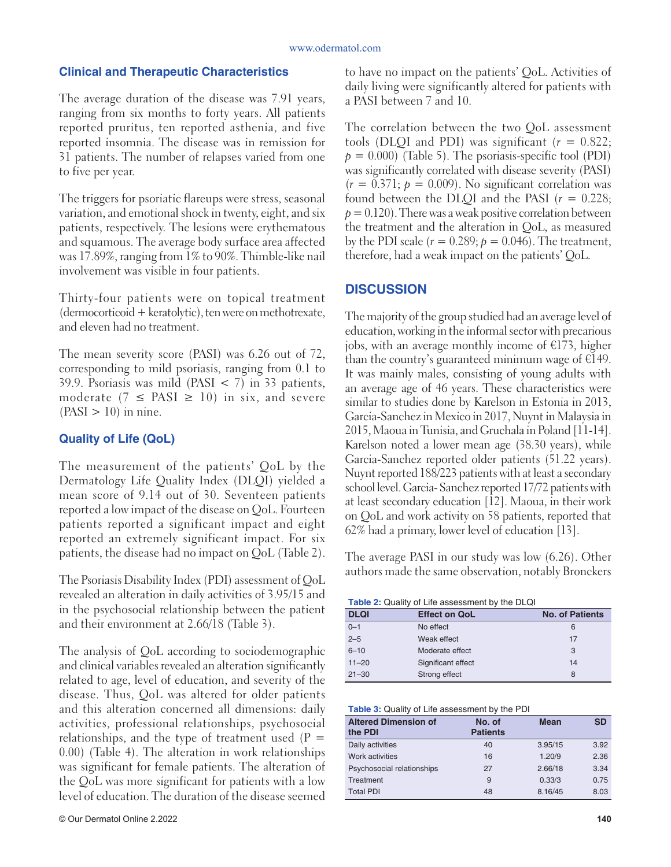#### **Clinical and Therapeutic Characteristics**

The average duration of the disease was 7.91 years, ranging from six months to forty years. All patients reported pruritus, ten reported asthenia, and five reported insomnia. The disease was in remission for 31 patients. The number of relapses varied from one to five per year.

The triggers for psoriatic flareups were stress, seasonal variation, and emotional shock in twenty, eight, and six patients, respectively. The lesions were erythematous and squamous. The average body surface area affected was 17.89%, ranging from 1% to 90%. Thimble-like nail involvement was visible in four patients.

Thirty-four patients were on topical treatment (dermocorticoid + keratolytic), ten were on methotrexate, and eleven had no treatment.

The mean severity score (PASI) was 6.26 out of 72, corresponding to mild psoriasis, ranging from 0.1 to 39.9. Psoriasis was mild (PASI  $\lt$  7) in 33 patients, moderate ( $7 \leq$  PASI  $\geq$  10) in six, and severe  $(PASI > 10)$  in nine.

## **Quality of Life (QoL)**

The measurement of the patients' QoL by the Dermatology Life Quality Index (DLQI) yielded a mean score of 9.14 out of 30. Seventeen patients reported a low impact of the disease on QoL. Fourteen patients reported a significant impact and eight reported an extremely significant impact. For six patients, the disease had no impact on QoL (Table 2).

The Psoriasis Disability Index (PDI) assessment of QoL revealed an alteration in daily activities of 3.95/15 and in the psychosocial relationship between the patient and their environment at 2.66/18 (Table 3).

The analysis of QoL according to sociodemographic and clinical variables revealed an alteration significantly related to age, level of education, and severity of the disease. Thus, QoL was altered for older patients and this alteration concerned all dimensions: daily activities, professional relationships, psychosocial relationships, and the type of treatment used  $(P =$ 0.00) (Table 4). The alteration in work relationships was significant for female patients. The alteration of the QoL was more significant for patients with a low level of education. The duration of the disease seemed

to have no impact on the patients' QoL. Activities of daily living were significantly altered for patients with a PASI between 7 and 10.

The correlation between the two QoL assessment tools (DLQI and PDI) was significant  $(r = 0.822)$ ;  $p = 0.000$ ) (Table 5). The psoriasis-specific tool (PDI) was significantly correlated with disease severity (PASI)  $(r = 0.371; p = 0.009)$ . No significant correlation was found between the DLQI and the PASI  $(r = 0.228)$ ;  $p = 0.120$ . There was a weak positive correlation between the treatment and the alteration in QoL, as measured by the PDI scale  $(r = 0.289; p = 0.046)$ . The treatment, therefore, had a weak impact on the patients' QoL.

## **DISCUSSION**

The majority of the group studied had an average level of education, working in the informal sector with precarious jobs, with an average monthly income of  $E$ 173, higher than the country's guaranteed minimum wage of €149. It was mainly males, consisting of young adults with an average age of 46 years. These characteristics were similar to studies done by Karelson in Estonia in 2013, Garcia-Sanchez in Mexico in 2017, Nuynt in Malaysia in 2015, Maoua in Tunisia, and Gruchala in Poland [11-14]. Karelson noted a lower mean age (38.30 years), while Garcia-Sanchez reported older patients (51.22 years). Nuynt reported 188/223 patients with at least a secondary school level. Garcia- Sanchez reported 17/72 patients with at least secondary education [12]. Maoua, in their work on QoL and work activity on 58 patients, reported that 62% had a primary, lower level of education [13].

The average PASI in our study was low (6.26). Other authors made the same observation, notably Bronckers

**Table 2:** Quality of Life assessment by the DLQI

| <b>DLQI</b> | <b>Effect on QoL</b> | <b>No. of Patients</b> |
|-------------|----------------------|------------------------|
| $0 - 1$     | No effect            | 6                      |
| $2 - 5$     | Weak effect          | 17                     |
| $6 - 10$    | Moderate effect      | 3                      |
| $11 - 20$   | Significant effect   | 14                     |
| $21 - 30$   | Strong effect        | 8                      |

#### **Table 3:** Quality of Life assessment by the PDI

| <b>Altered Dimension of</b><br>the PDI | No. of<br><b>Patients</b> | <b>Mean</b> | <b>SD</b> |
|----------------------------------------|---------------------------|-------------|-----------|
| Daily activities                       | 40                        | 3.95/15     | 3.92      |
| Work activities                        | 16                        | 1.20/9      | 2.36      |
| Psychosocial relationships             | 27                        | 2.66/18     | 3.34      |
| Treatment                              | 9                         | 0.33/3      | 0.75      |
| <b>Total PDI</b>                       | 48                        | 8.16/45     | 8.03      |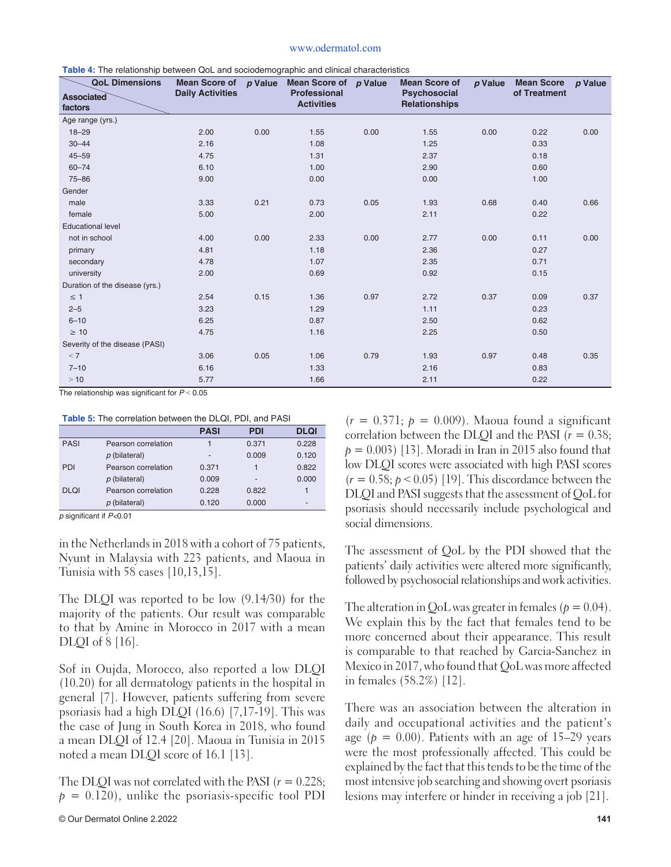#### www.odermatol.com

| <b>Table 4.</b> The relationship between GoL and sociouship graphic and chinear characteristics<br><b>QoL Dimensions</b> |                         |      | Mean Score of $p$ Value Mean Score of $p$ Value |      | <b>Mean Score of</b>                 | p Value | <b>Mean Score</b> | p Value |
|--------------------------------------------------------------------------------------------------------------------------|-------------------------|------|-------------------------------------------------|------|--------------------------------------|---------|-------------------|---------|
| <b>Associated</b><br>factors                                                                                             | <b>Daily Activities</b> |      | Professional<br><b>Activities</b>               |      | Psychosocial<br><b>Relationships</b> |         | of Treatment      |         |
| Age range (yrs.)                                                                                                         |                         |      |                                                 |      |                                      |         |                   |         |
| $18 - 29$                                                                                                                | 2.00                    | 0.00 | 1.55                                            | 0.00 | 1.55                                 | 0.00    | 0.22              | 0.00    |
| $30 - 44$                                                                                                                | 2.16                    |      | 1.08                                            |      | 1.25                                 |         | 0.33              |         |
| $45 - 59$                                                                                                                | 4.75                    |      | 1.31                                            |      | 2.37                                 |         | 0.18              |         |
| $60 - 74$                                                                                                                | 6.10                    |      | 1.00                                            |      | 2.90                                 |         | 0.60              |         |
| $75 - 86$                                                                                                                | 9.00                    |      | 0.00                                            |      | 0.00                                 |         | 1.00              |         |
| Gender                                                                                                                   |                         |      |                                                 |      |                                      |         |                   |         |
| male                                                                                                                     | 3.33                    | 0.21 | 0.73                                            | 0.05 | 1.93                                 | 0.68    | 0.40              | 0.66    |
| female                                                                                                                   | 5.00                    |      | 2.00                                            |      | 2.11                                 |         | 0.22              |         |
| <b>Educational level</b>                                                                                                 |                         |      |                                                 |      |                                      |         |                   |         |
| not in school                                                                                                            | 4.00                    | 0.00 | 2.33                                            | 0.00 | 2.77                                 | 0.00    | 0.11              | 0.00    |
| primary                                                                                                                  | 4.81                    |      | 1.18                                            |      | 2.36                                 |         | 0.27              |         |
| secondary                                                                                                                | 4.78                    |      | 1.07                                            |      | 2.35                                 |         | 0.71              |         |
| university                                                                                                               | 2.00                    |      | 0.69                                            |      | 0.92                                 |         | 0.15              |         |
| Duration of the disease (yrs.)                                                                                           |                         |      |                                                 |      |                                      |         |                   |         |
| $\leq$ 1                                                                                                                 | 2.54                    | 0.15 | 1.36                                            | 0.97 | 2.72                                 | 0.37    | 0.09              | 0.37    |
| $2 - 5$                                                                                                                  | 3.23                    |      | 1.29                                            |      | 1.11                                 |         | 0.23              |         |
| $6 - 10$                                                                                                                 | 6.25                    |      | 0.87                                            |      | 2.50                                 |         | 0.62              |         |
| $\geq 10$                                                                                                                | 4.75                    |      | 1.16                                            |      | 2.25                                 |         | 0.50              |         |
| Severity of the disease (PASI)                                                                                           |                         |      |                                                 |      |                                      |         |                   |         |
| < 7                                                                                                                      | 3.06                    | 0.05 | 1.06                                            | 0.79 | 1.93                                 | 0.97    | 0.48              | 0.35    |
| $7 - 10$                                                                                                                 | 6.16                    |      | 1.33                                            |      | 2.16                                 |         | 0.83              |         |
| >10                                                                                                                      | 5.77                    |      | 1.66                                            |      | 2.11                                 |         | 0.22              |         |

| <b>Table 4:</b> The relationship between QoL and sociodemographic and clinical characteristics |  |  |  |
|------------------------------------------------------------------------------------------------|--|--|--|
|                                                                                                |  |  |  |

The relationship was significant for  $P < 0.05$ 

#### **Table 5:** The correlation between the DLQI, PDI, and PASI

|             |                     | <b>PASI</b> | <b>PDI</b> | <b>DLQI</b>              |
|-------------|---------------------|-------------|------------|--------------------------|
| <b>PASI</b> | Pearson correlation |             | 0.371      | 0.228                    |
|             | p (bilateral)       | -           | 0.009      | 0.120                    |
| <b>PDI</b>  | Pearson correlation | 0.371       | 1          | 0.822                    |
|             | p (bilateral)       | 0.009       |            | 0.000                    |
| <b>DLQI</b> | Pearson correlation | 0.228       | 0.822      |                          |
|             | p (bilateral)       | 0.120       | 0.000      | $\overline{\phantom{0}}$ |

*p* significant if  $P$ <0.01

in the Netherlands in 2018 with a cohort of 75 patients, Nyunt in Malaysia with 223 patients, and Maoua in Tunisia with 58 cases [10,13,15].

The DLQI was reported to be low (9.14/30) for the majority of the patients. Our result was comparable to that by Amine in Morocco in 2017 with a mean DLQI of 8 [16].

Sof in Oujda, Morocco, also reported a low DLQI (10.20) for all dermatology patients in the hospital in general [7]. However, patients suffering from severe psoriasis had a high DLQI (16.6) [7,17-19]. This was the case of Jung in South Korea in 2018, who found a mean DLQI of 12.4 [20]. Maoua in Tunisia in 2015 noted a mean DLQI score of 16.1 [13].

The DLQI was not correlated with the PASI (*r* = 0.228;  $p = 0.120$ , unlike the psoriasis-specific tool PDI  $(r = 0.371; p = 0.009)$ . Maoua found a significant correlation between the DLQI and the PASI (*r* = 0.38;  $p = 0.003$  [13]. Moradi in Iran in 2015 also found that low DLQI scores were associated with high PASI scores  $(r = 0.58; p < 0.05)$  [19]. This discordance between the DLQI and PASI suggests that the assessment of QoL for psoriasis should necessarily include psychological and social dimensions.

The assessment of QoL by the PDI showed that the patients' daily activities were altered more significantly, followed by psychosocial relationships and work activities.

The alteration in QoL was greater in females ( $p = 0.04$ ). We explain this by the fact that females tend to be more concerned about their appearance. This result is comparable to that reached by Garcia-Sanchez in Mexico in 2017, who found that QoL was more affected in females (58.2%) [12].

There was an association between the alteration in daily and occupational activities and the patient's age ( $p = 0.00$ ). Patients with an age of 15–29 years were the most professionally affected. This could be explained by the fact that this tends to be the time of the most intensive job searching and showing overt psoriasis lesions may interfere or hinder in receiving a job [21].